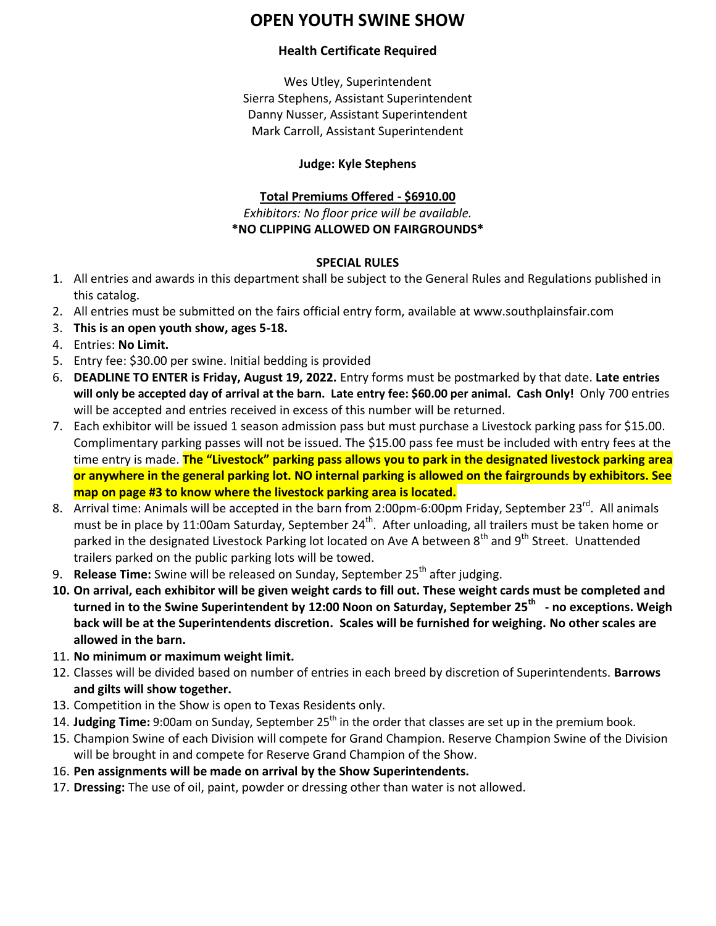# **OPEN YOUTH SWINE SHOW**

#### **Health Certificate Required**

Wes Utley, Superintendent Sierra Stephens, Assistant Superintendent Danny Nusser, Assistant Superintendent Mark Carroll, Assistant Superintendent

### **Judge: Kyle Stephens**

### **Total Premiums Offered - \$6910.00**

*Exhibitors: No floor price will be available.*  **\*NO CLIPPING ALLOWED ON FAIRGROUNDS\***

#### **SPECIAL RULES**

- 1. All entries and awards in this department shall be subject to the General Rules and Regulations published in this catalog.
- 2. All entries must be submitted on the fairs official entry form, available at www.southplainsfair.com
- 3. **This is an open youth show, ages 5-18.**
- 4. Entries: **No Limit.**
- 5. Entry fee: \$30.00 per swine. Initial bedding is provided
- 6. **DEADLINE TO ENTER is Friday, August 19, 2022.** Entry forms must be postmarked by that date. **Late entries will only be accepted day of arrival at the barn. Late entry fee: \$60.00 per animal. Cash Only!** Only 700 entries will be accepted and entries received in excess of this number will be returned.
- 7. Each exhibitor will be issued 1 season admission pass but must purchase a Livestock parking pass for \$15.00. Complimentary parking passes will not be issued. The \$15.00 pass fee must be included with entry fees at the time entry is made. **The "Livestock" parking pass allows you to park in the designated livestock parking area or anywhere in the general parking lot. NO internal parking is allowed on the fairgrounds by exhibitors. See map on page #3 to know where the livestock parking area is located.**
- 8. Arrival time: Animals will be accepted in the barn from 2:00pm-6:00pm Friday, September 23<sup>rd</sup>. All animals must be in place by 11:00am Saturday, September 24<sup>th</sup>. After unloading, all trailers must be taken home or parked in the designated Livestock Parking lot located on Ave A between 8<sup>th</sup> and 9<sup>th</sup> Street. Unattended trailers parked on the public parking lots will be towed.
- 9. **Release Time:** Swine will be released on Sunday, September 25<sup>th</sup> after judging.
- **10. On arrival, each exhibitor will be given weight cards to fill out. These weight cards must be completed and**   $\tt{turned}$  in  $\tt{to}$  the Swine Superintendent by 12:00 Noon on Saturday, September 25<sup>th</sup> - no exceptions. Weigh **back will be at the Superintendents discretion. Scales will be furnished for weighing. No other scales are allowed in the barn.**
- 11. **No minimum or maximum weight limit.**
- 12. Classes will be divided based on number of entries in each breed by discretion of Superintendents. **Barrows and gilts will show together.**
- 13. Competition in the Show is open to Texas Residents only.
- 14. **Judging Time**: 9:00am on Sunday, September 25<sup>th</sup> in the order that classes are set up in the premium book.
- 15. Champion Swine of each Division will compete for Grand Champion. Reserve Champion Swine of the Division will be brought in and compete for Reserve Grand Champion of the Show.
- 16. **Pen assignments will be made on arrival by the Show Superintendents.**
- 17. **Dressing:** The use of oil, paint, powder or dressing other than water is not allowed.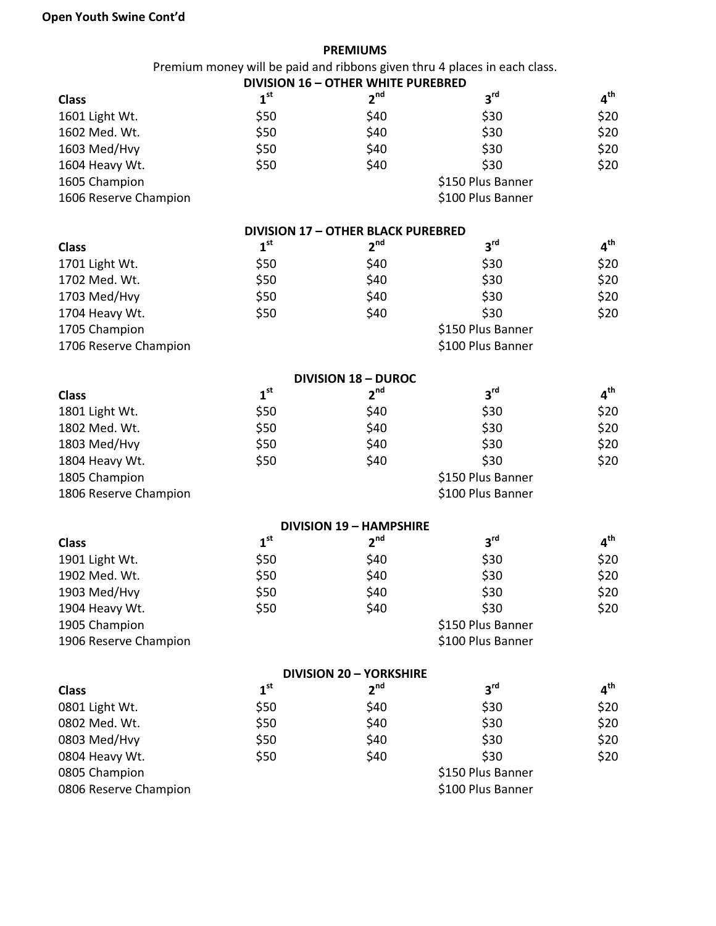## **Open Youth Swine Cont'd**

|                       |                 | <b>PREMIUMS</b>                           |                                                                           |                 |
|-----------------------|-----------------|-------------------------------------------|---------------------------------------------------------------------------|-----------------|
|                       |                 |                                           | Premium money will be paid and ribbons given thru 4 places in each class. |                 |
|                       |                 | <b>DIVISION 16 - OTHER WHITE PUREBRED</b> |                                                                           |                 |
| <b>Class</b>          | 1 <sup>st</sup> | 2 <sup>nd</sup>                           | 3 <sup>rd</sup>                                                           | $4^{\text{th}}$ |
| 1601 Light Wt.        | \$50            | \$40                                      | \$30                                                                      | \$20            |
| 1602 Med. Wt.         | \$50            | \$40                                      | \$30                                                                      | \$20            |
| 1603 Med/Hvy          | \$50            | \$40                                      | \$30                                                                      | \$20            |
| 1604 Heavy Wt.        | \$50            | \$40                                      | \$30                                                                      | \$20            |
| 1605 Champion         |                 |                                           | \$150 Plus Banner                                                         |                 |
| 1606 Reserve Champion |                 |                                           | \$100 Plus Banner                                                         |                 |
|                       |                 | <b>DIVISION 17 - OTHER BLACK PUREBRED</b> |                                                                           |                 |
| <b>Class</b>          | 1 <sup>st</sup> | 2 <sup>nd</sup>                           | 3 <sup>rd</sup>                                                           | $4^{\text{th}}$ |
| 1701 Light Wt.        | \$50            | \$40                                      | \$30                                                                      | \$20            |
| 1702 Med. Wt.         | \$50            | \$40                                      | \$30                                                                      | \$20            |
| 1703 Med/Hvy          | \$50            | \$40                                      | \$30                                                                      | \$20            |
| 1704 Heavy Wt.        | \$50            | \$40                                      | \$30                                                                      | \$20            |
| 1705 Champion         |                 |                                           | \$150 Plus Banner                                                         |                 |
| 1706 Reserve Champion |                 |                                           | \$100 Plus Banner                                                         |                 |
|                       |                 | <b>DIVISION 18 - DUROC</b>                |                                                                           |                 |
| <b>Class</b>          | 1 <sup>st</sup> | 2 <sup>nd</sup>                           | 3 <sup>rd</sup>                                                           | $4^{\text{th}}$ |
| 1801 Light Wt.        | \$50            | \$40                                      | \$30                                                                      | \$20            |
| 1802 Med. Wt.         | \$50            | \$40                                      | \$30                                                                      | \$20            |
| 1803 Med/Hvy          | \$50            | \$40                                      | \$30                                                                      | \$20            |
| 1804 Heavy Wt.        | \$50            | \$40                                      | \$30                                                                      | \$20            |
| 1805 Champion         |                 |                                           | \$150 Plus Banner                                                         |                 |
| 1806 Reserve Champion |                 |                                           | \$100 Plus Banner                                                         |                 |
|                       |                 | <b>DIVISION 19 - HAMPSHIRE</b>            |                                                                           |                 |
| <b>Class</b>          | 1 <sup>st</sup> | 2 <sup>nd</sup>                           | 3 <sup>rd</sup>                                                           | $4^{\text{th}}$ |
| 1901 Light Wt.        | \$50            | \$40                                      | \$30                                                                      | \$20            |
| 1902 Med. Wt.         | \$50            | \$40                                      | \$30                                                                      | \$20            |
| 1903 Med/Hvy          | \$50            | \$40                                      | \$30                                                                      | \$20            |
| 1904 Heavy Wt.        | \$50            | \$40                                      | \$30                                                                      | \$20            |
| 1905 Champion         |                 |                                           | \$150 Plus Banner                                                         |                 |
| 1906 Reserve Champion |                 |                                           | \$100 Plus Banner                                                         |                 |
|                       |                 | <b>DIVISION 20 - YORKSHIRE</b>            |                                                                           |                 |
| <b>Class</b>          | 1 <sup>st</sup> | 2 <sup>nd</sup>                           | $3^{\text{rd}}$                                                           | $4^{\text{th}}$ |
| 0801 Light Wt.        | \$50            | \$40                                      | \$30                                                                      | \$20            |
| 0802 Med. Wt.         | \$50            | \$40                                      | \$30                                                                      | \$20            |
| 0803 Med/Hvy          | \$50            | \$40                                      | \$30                                                                      | \$20            |
| 0804 Heavy Wt.        | \$50            | \$40                                      | \$30                                                                      | \$20            |
| 0805 Champion         |                 |                                           | \$150 Plus Banner                                                         |                 |

0806 Reserve Champion **1996** Contract to the Superintensity of the Superintensity of the Superintensity of the Superintensity of the Superintensity of the Superintensity of the Superintensity of the Superintensity of the S